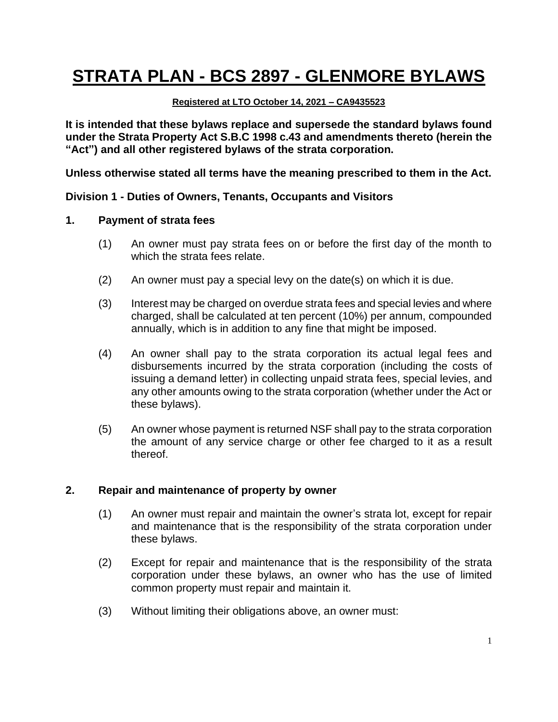# **STRATA PLAN - BCS 2897 - GLENMORE BYLAWS**

#### **Registered at LTO October 14, 2021 – CA9435523**

**It is intended that these bylaws replace and supersede the standard bylaws found under the Strata Property Act S.B.C 1998 c.43 and amendments thereto (herein the "Act") and all other registered bylaws of the strata corporation.**

**Unless otherwise stated all terms have the meaning prescribed to them in the Act.**

#### **Division 1 - Duties of Owners, Tenants, Occupants and Visitors**

#### **1. Payment of strata fees**

- (1) An owner must pay strata fees on or before the first day of the month to which the strata fees relate.
- (2) An owner must pay a special levy on the date(s) on which it is due.
- (3) Interest may be charged on overdue strata fees and special levies and where charged, shall be calculated at ten percent (10%) per annum, compounded annually, which is in addition to any fine that might be imposed.
- (4) An owner shall pay to the strata corporation its actual legal fees and disbursements incurred by the strata corporation (including the costs of issuing a demand letter) in collecting unpaid strata fees, special levies, and any other amounts owing to the strata corporation (whether under the Act or these bylaws).
- (5) An owner whose payment is returned NSF shall pay to the strata corporation the amount of any service charge or other fee charged to it as a result thereof.

#### **2. Repair and maintenance of property by owner**

- (1) An owner must repair and maintain the owner's strata lot, except for repair and maintenance that is the responsibility of the strata corporation under these bylaws.
- (2) Except for repair and maintenance that is the responsibility of the strata corporation under these bylaws, an owner who has the use of limited common property must repair and maintain it.
- (3) Without limiting their obligations above, an owner must: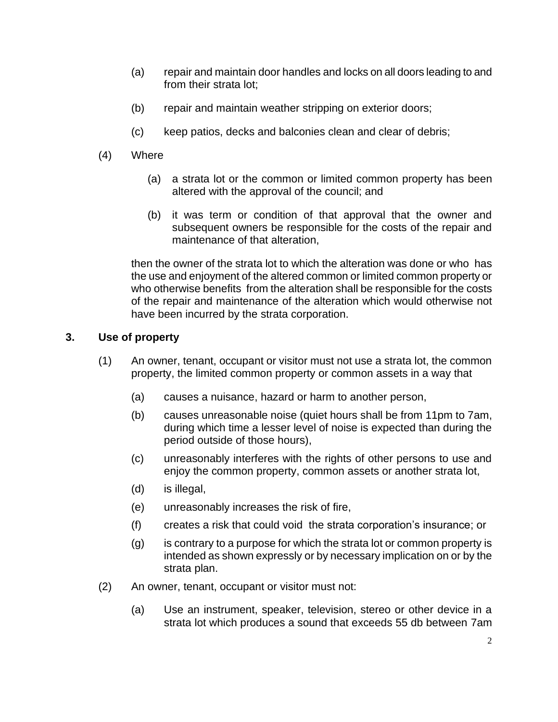- (a) repair and maintain door handles and locks on all doors leading to and from their strata lot:
- (b) repair and maintain weather stripping on exterior doors;
- (c) keep patios, decks and balconies clean and clear of debris;
- (4) Where
	- (a) a strata lot or the common or limited common property has been altered with the approval of the council; and
	- (b) it was term or condition of that approval that the owner and subsequent owners be responsible for the costs of the repair and maintenance of that alteration,

then the owner of the strata lot to which the alteration was done or who has the use and enjoyment of the altered common or limited common property or who otherwise benefits from the alteration shall be responsible for the costs of the repair and maintenance of the alteration which would otherwise not have been incurred by the strata corporation.

# **3. Use of property**

- (1) An owner, tenant, occupant or visitor must not use a strata lot, the common property, the limited common property or common assets in a way that
	- (a) causes a nuisance, hazard or harm to another person,
	- (b) causes unreasonable noise (quiet hours shall be from 11pm to 7am, during which time a lesser level of noise is expected than during the period outside of those hours),
	- (c) unreasonably interferes with the rights of other persons to use and enjoy the common property, common assets or another strata lot,
	- (d) is illegal,
	- (e) unreasonably increases the risk of fire,
	- (f) creates a risk that could void the strata corporation's insurance; or
	- (g) is contrary to a purpose for which the strata lot or common property is intended as shown expressly or by necessary implication on or by the strata plan.
- (2) An owner, tenant, occupant or visitor must not:
	- (a) Use an instrument, speaker, television, stereo or other device in a strata lot which produces a sound that exceeds 55 db between 7am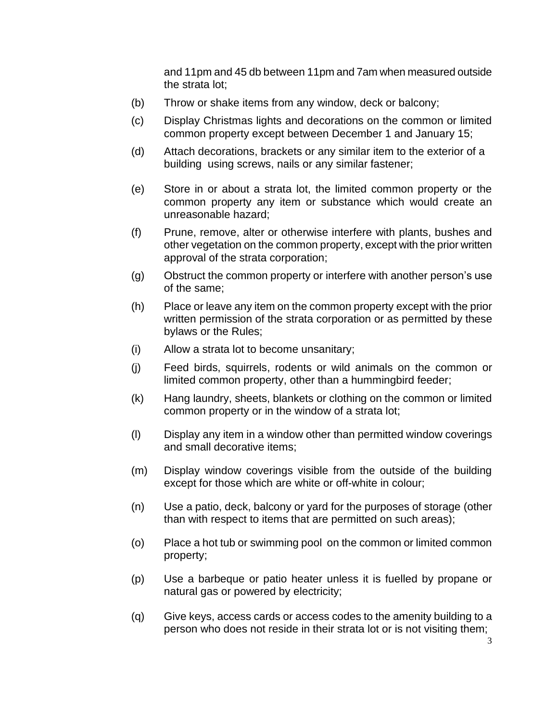and 11pm and 45 db between 11pm and 7am when measured outside the strata lot;

- (b) Throw or shake items from any window, deck or balcony;
- (c) Display Christmas lights and decorations on the common or limited common property except between December 1 and January 15;
- (d) Attach decorations, brackets or any similar item to the exterior of a building using screws, nails or any similar fastener;
- (e) Store in or about a strata lot, the limited common property or the common property any item or substance which would create an unreasonable hazard;
- (f) Prune, remove, alter or otherwise interfere with plants, bushes and other vegetation on the common property, except with the prior written approval of the strata corporation;
- (g) Obstruct the common property or interfere with another person's use of the same;
- (h) Place or leave any item on the common property except with the prior written permission of the strata corporation or as permitted by these bylaws or the Rules;
- (i) Allow a strata lot to become unsanitary;
- (j) Feed birds, squirrels, rodents or wild animals on the common or limited common property, other than a hummingbird feeder;
- (k) Hang laundry, sheets, blankets or clothing on the common or limited common property or in the window of a strata lot;
- (l) Display any item in a window other than permitted window coverings and small decorative items;
- (m) Display window coverings visible from the outside of the building except for those which are white or off-white in colour;
- (n) Use a patio, deck, balcony or yard for the purposes of storage (other than with respect to items that are permitted on such areas);
- (o) Place a hot tub or swimming pool on the common or limited common property;
- (p) Use a barbeque or patio heater unless it is fuelled by propane or natural gas or powered by electricity;
- (q) Give keys, access cards or access codes to the amenity building to a person who does not reside in their strata lot or is not visiting them;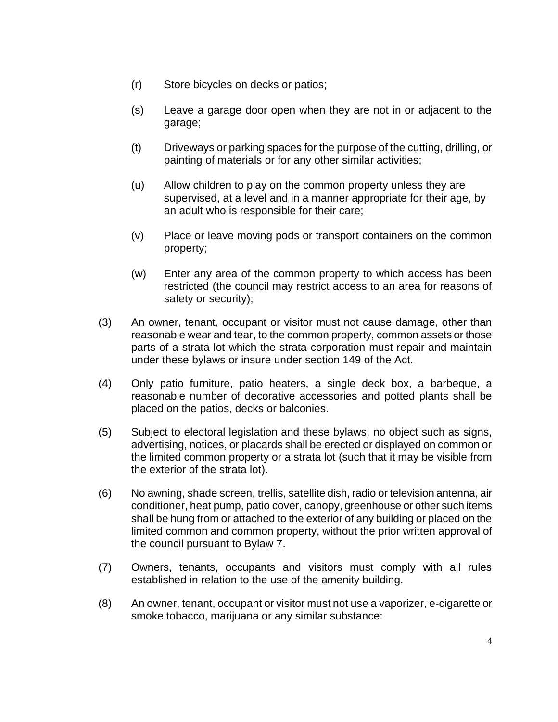- (r) Store bicycles on decks or patios;
- (s) Leave a garage door open when they are not in or adjacent to the garage;
- (t) Driveways or parking spaces for the purpose of the cutting, drilling, or painting of materials or for any other similar activities;
- (u) Allow children to play on the common property unless they are supervised, at a level and in a manner appropriate for their age, by an adult who is responsible for their care;
- (v) Place or leave moving pods or transport containers on the common property;
- (w) Enter any area of the common property to which access has been restricted (the council may restrict access to an area for reasons of safety or security);
- (3) An owner, tenant, occupant or visitor must not cause damage, other than reasonable wear and tear, to the common property, common assets or those parts of a strata lot which the strata corporation must repair and maintain under these bylaws or insure under section 149 of the Act.
- (4) Only patio furniture, patio heaters, a single deck box, a barbeque, a reasonable number of decorative accessories and potted plants shall be placed on the patios, decks or balconies.
- (5) Subject to electoral legislation and these bylaws, no object such as signs, advertising, notices, or placards shall be erected or displayed on common or the limited common property or a strata lot (such that it may be visible from the exterior of the strata lot).
- (6) No awning, shade screen, trellis, satellite dish, radio or television antenna, air conditioner, heat pump, patio cover, canopy, greenhouse or other such items shall be hung from or attached to the exterior of any building or placed on the limited common and common property, without the prior written approval of the council pursuant to Bylaw 7.
- (7) Owners, tenants, occupants and visitors must comply with all rules established in relation to the use of the amenity building.
- (8) An owner, tenant, occupant or visitor must not use a vaporizer, e-cigarette or smoke tobacco, marijuana or any similar substance: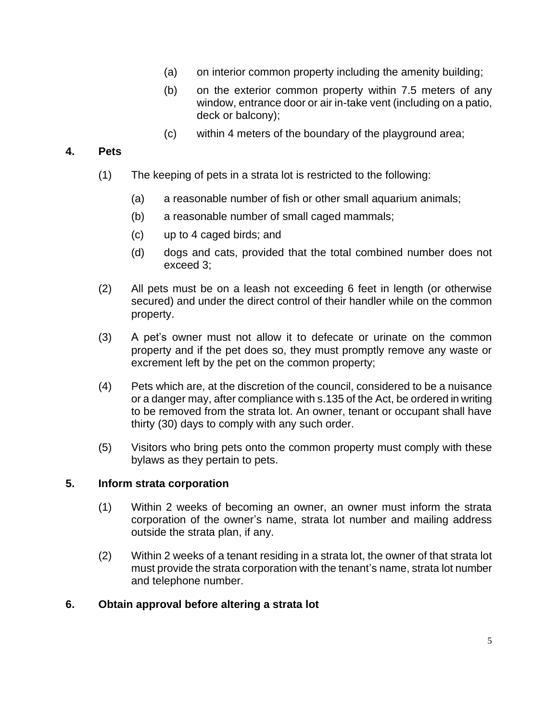- (a) on interior common property including the amenity building;
- (b) on the exterior common property within 7.5 meters of any window, entrance door or air in-take vent (including on a patio, deck or balcony);
- (c) within 4 meters of the boundary of the playground area;

#### **4. Pets**

- (1) The keeping of pets in a strata lot is restricted to the following:
	- (a) a reasonable number of fish or other small aquarium animals;
	- (b) a reasonable number of small caged mammals;
	- (c) up to 4 caged birds; and
	- (d) dogs and cats, provided that the total combined number does not exceed 3;
- (2) All pets must be on a leash not exceeding 6 feet in length (or otherwise secured) and under the direct control of their handler while on the common property.
- (3) A pet's owner must not allow it to defecate or urinate on the common property and if the pet does so, they must promptly remove any waste or excrement left by the pet on the common property;
- (4) Pets which are, at the discretion of the council, considered to be a nuisance or a danger may, after compliance with s.135 of the Act, be ordered in writing to be removed from the strata lot. An owner, tenant or occupant shall have thirty (30) days to comply with any such order.
- (5) Visitors who bring pets onto the common property must comply with these bylaws as they pertain to pets.

#### **5. Inform strata corporation**

- (1) Within 2 weeks of becoming an owner, an owner must inform the strata corporation of the owner's name, strata lot number and mailing address outside the strata plan, if any.
- (2) Within 2 weeks of a tenant residing in a strata lot, the owner of that strata lot must provide the strata corporation with the tenant's name, strata lot number and telephone number.

#### **6. Obtain approval before altering a strata lot**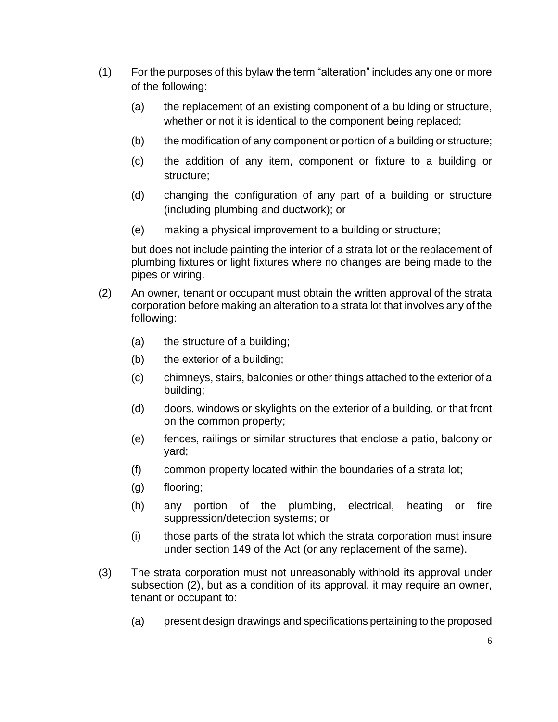- (1) For the purposes of this bylaw the term "alteration" includes any one or more of the following:
	- (a) the replacement of an existing component of a building or structure, whether or not it is identical to the component being replaced;
	- (b) the modification of any component or portion of a building or structure;
	- (c) the addition of any item, component or fixture to a building or structure;
	- (d) changing the configuration of any part of a building or structure (including plumbing and ductwork); or
	- (e) making a physical improvement to a building or structure;

but does not include painting the interior of a strata lot or the replacement of plumbing fixtures or light fixtures where no changes are being made to the pipes or wiring.

- (2) An owner, tenant or occupant must obtain the written approval of the strata corporation before making an alteration to a strata lot that involves any of the following:
	- (a) the structure of a building;
	- (b) the exterior of a building;
	- (c) chimneys, stairs, balconies or other things attached to the exterior of a building;
	- (d) doors, windows or skylights on the exterior of a building, or that front on the common property;
	- (e) fences, railings or similar structures that enclose a patio, balcony or yard;
	- (f) common property located within the boundaries of a strata lot;
	- (g) flooring;
	- (h) any portion of the plumbing, electrical, heating or fire suppression/detection systems; or
	- (i) those parts of the strata lot which the strata corporation must insure under section 149 of the Act (or any replacement of the same).
- (3) The strata corporation must not unreasonably withhold its approval under subsection (2), but as a condition of its approval, it may require an owner, tenant or occupant to:
	- (a) present design drawings and specifications pertaining to the proposed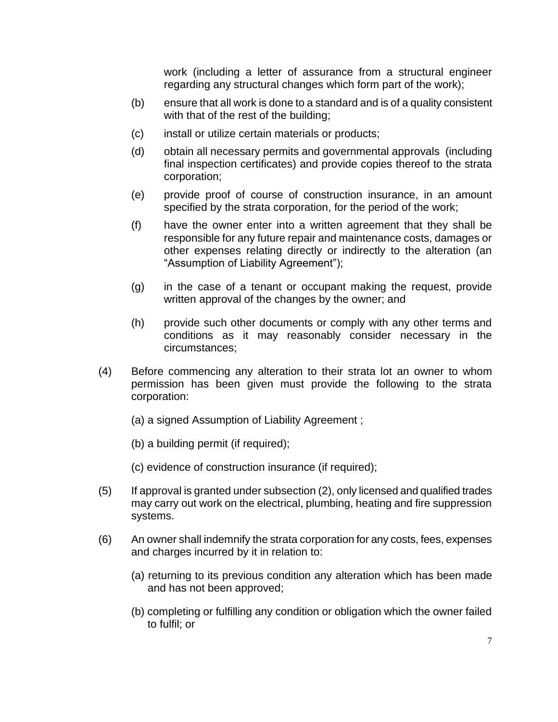work (including a letter of assurance from a structural engineer regarding any structural changes which form part of the work);

- (b) ensure that all work is done to a standard and is of a quality consistent with that of the rest of the building;
- (c) install or utilize certain materials or products;
- (d) obtain all necessary permits and governmental approvals (including final inspection certificates) and provide copies thereof to the strata corporation;
- (e) provide proof of course of construction insurance, in an amount specified by the strata corporation, for the period of the work;
- (f) have the owner enter into a written agreement that they shall be responsible for any future repair and maintenance costs, damages or other expenses relating directly or indirectly to the alteration (an "Assumption of Liability Agreement");
- (g) in the case of a tenant or occupant making the request, provide written approval of the changes by the owner; and
- (h) provide such other documents or comply with any other terms and conditions as it may reasonably consider necessary in the circumstances;
- (4) Before commencing any alteration to their strata lot an owner to whom permission has been given must provide the following to the strata corporation:
	- (a) a signed Assumption of Liability Agreement ;
	- (b) a building permit (if required);
	- (c) evidence of construction insurance (if required);
- (5) If approval is granted under subsection (2), only licensed and qualified trades may carry out work on the electrical, plumbing, heating and fire suppression systems.
- (6) An owner shall indemnify the strata corporation for any costs, fees, expenses and charges incurred by it in relation to:
	- (a) returning to its previous condition any alteration which has been made and has not been approved;
	- (b) completing or fulfilling any condition or obligation which the owner failed to fulfil; or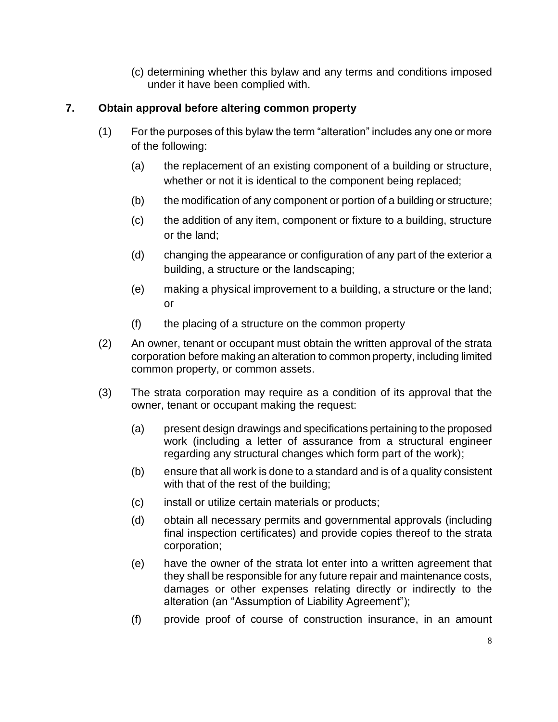(c) determining whether this bylaw and any terms and conditions imposed under it have been complied with.

# **7. Obtain approval before altering common property**

- (1) For the purposes of this bylaw the term "alteration" includes any one or more of the following:
	- (a) the replacement of an existing component of a building or structure, whether or not it is identical to the component being replaced;
	- (b) the modification of any component or portion of a building or structure;
	- (c) the addition of any item, component or fixture to a building, structure or the land;
	- (d) changing the appearance or configuration of any part of the exterior a building, a structure or the landscaping;
	- (e) making a physical improvement to a building, a structure or the land; or
	- (f) the placing of a structure on the common property
- (2) An owner, tenant or occupant must obtain the written approval of the strata corporation before making an alteration to common property, including limited common property, or common assets.
- (3) The strata corporation may require as a condition of its approval that the owner, tenant or occupant making the request:
	- (a) present design drawings and specifications pertaining to the proposed work (including a letter of assurance from a structural engineer regarding any structural changes which form part of the work);
	- (b) ensure that all work is done to a standard and is of a quality consistent with that of the rest of the building;
	- (c) install or utilize certain materials or products;
	- (d) obtain all necessary permits and governmental approvals (including final inspection certificates) and provide copies thereof to the strata corporation;
	- (e) have the owner of the strata lot enter into a written agreement that they shall be responsible for any future repair and maintenance costs, damages or other expenses relating directly or indirectly to the alteration (an "Assumption of Liability Agreement");
	- (f) provide proof of course of construction insurance, in an amount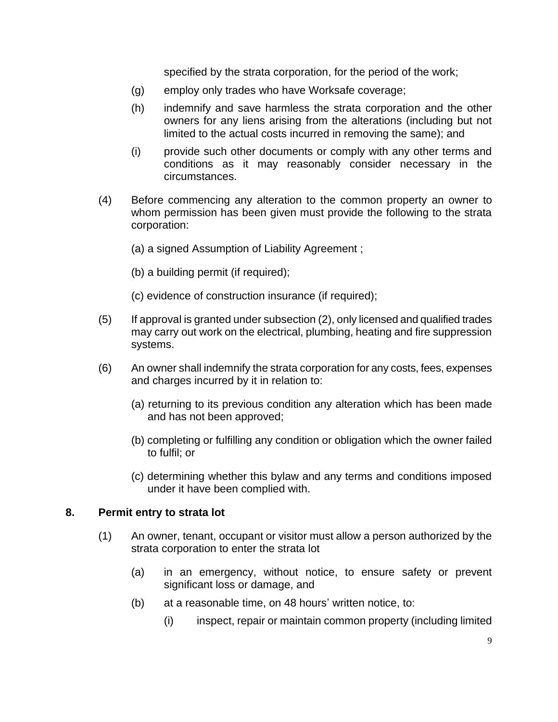specified by the strata corporation, for the period of the work;

- (g) employ only trades who have Worksafe coverage;
- (h) indemnify and save harmless the strata corporation and the other owners for any liens arising from the alterations (including but not limited to the actual costs incurred in removing the same); and
- (i) provide such other documents or comply with any other terms and conditions as it may reasonably consider necessary in the circumstances.
- (4) Before commencing any alteration to the common property an owner to whom permission has been given must provide the following to the strata corporation:
	- (a) a signed Assumption of Liability Agreement ;
	- (b) a building permit (if required);
	- (c) evidence of construction insurance (if required);
- (5) If approval is granted under subsection (2), only licensed and qualified trades may carry out work on the electrical, plumbing, heating and fire suppression systems.
- (6) An owner shall indemnify the strata corporation for any costs, fees, expenses and charges incurred by it in relation to:
	- (a) returning to its previous condition any alteration which has been made and has not been approved;
	- (b) completing or fulfilling any condition or obligation which the owner failed to fulfil; or
	- (c) determining whether this bylaw and any terms and conditions imposed under it have been complied with.

#### **8. Permit entry to strata lot**

- (1) An owner, tenant, occupant or visitor must allow a person authorized by the strata corporation to enter the strata lot
	- (a) in an emergency, without notice, to ensure safety or prevent significant loss or damage, and
	- (b) at a reasonable time, on 48 hours' written notice, to:
		- (i) inspect, repair or maintain common property (including limited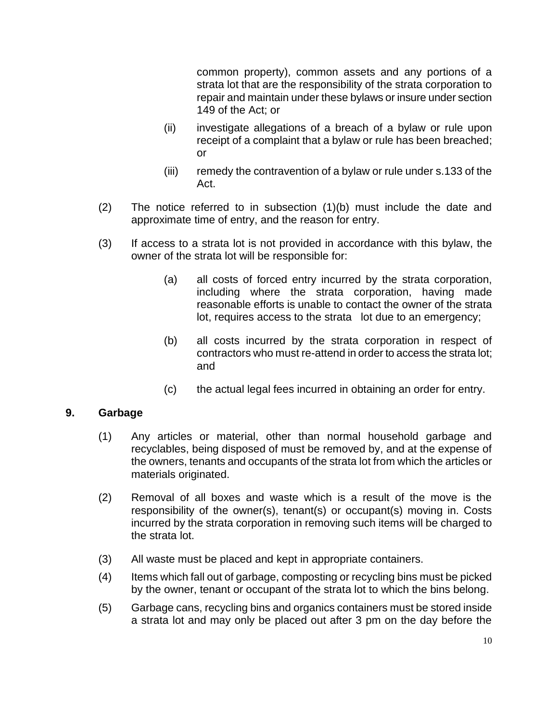common property), common assets and any portions of a strata lot that are the responsibility of the strata corporation to repair and maintain under these bylaws or insure under section 149 of the Act; or

- (ii) investigate allegations of a breach of a bylaw or rule upon receipt of a complaint that a bylaw or rule has been breached; or
- (iii) remedy the contravention of a bylaw or rule under s.133 of the Act.
- (2) The notice referred to in subsection (1)(b) must include the date and approximate time of entry, and the reason for entry.
- (3) If access to a strata lot is not provided in accordance with this bylaw, the owner of the strata lot will be responsible for:
	- (a) all costs of forced entry incurred by the strata corporation, including where the strata corporation, having made reasonable efforts is unable to contact the owner of the strata lot, requires access to the strata lot due to an emergency;
	- (b) all costs incurred by the strata corporation in respect of contractors who must re-attend in order to access the strata lot; and
	- (c) the actual legal fees incurred in obtaining an order for entry.

#### **9. Garbage**

- (1) Any articles or material, other than normal household garbage and recyclables, being disposed of must be removed by, and at the expense of the owners, tenants and occupants of the strata lot from which the articles or materials originated.
- (2) Removal of all boxes and waste which is a result of the move is the responsibility of the owner(s), tenant(s) or occupant(s) moving in. Costs incurred by the strata corporation in removing such items will be charged to the strata lot.
- (3) All waste must be placed and kept in appropriate containers.
- (4) Items which fall out of garbage, composting or recycling bins must be picked by the owner, tenant or occupant of the strata lot to which the bins belong.
- (5) Garbage cans, recycling bins and organics containers must be stored inside a strata lot and may only be placed out after 3 pm on the day before the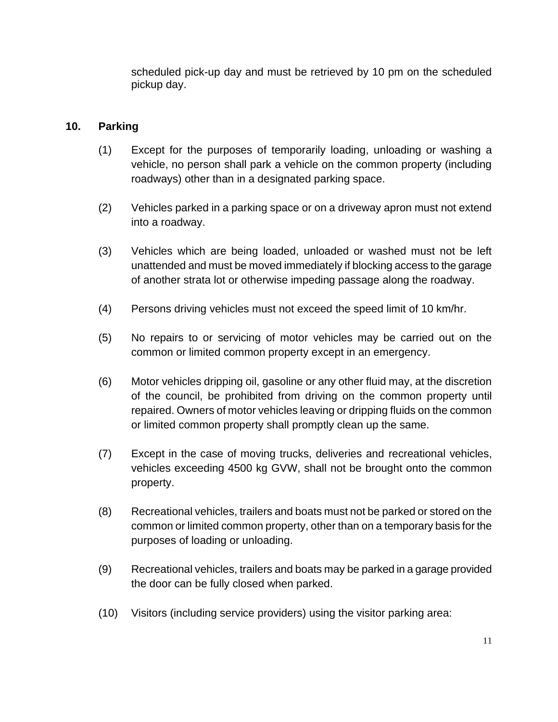scheduled pick-up day and must be retrieved by 10 pm on the scheduled pickup day.

## **10. Parking**

- (1) Except for the purposes of temporarily loading, unloading or washing a vehicle, no person shall park a vehicle on the common property (including roadways) other than in a designated parking space.
- (2) Vehicles parked in a parking space or on a driveway apron must not extend into a roadway.
- (3) Vehicles which are being loaded, unloaded or washed must not be left unattended and must be moved immediately if blocking access to the garage of another strata lot or otherwise impeding passage along the roadway.
- (4) Persons driving vehicles must not exceed the speed limit of 10 km/hr.
- (5) No repairs to or servicing of motor vehicles may be carried out on the common or limited common property except in an emergency.
- (6) Motor vehicles dripping oil, gasoline or any other fluid may, at the discretion of the council, be prohibited from driving on the common property until repaired. Owners of motor vehicles leaving or dripping fluids on the common or limited common property shall promptly clean up the same.
- (7) Except in the case of moving trucks, deliveries and recreational vehicles, vehicles exceeding 4500 kg GVW, shall not be brought onto the common property.
- (8) Recreational vehicles, trailers and boats must not be parked or stored on the common or limited common property, other than on a temporary basis for the purposes of loading or unloading.
- (9) Recreational vehicles, trailers and boats may be parked in a garage provided the door can be fully closed when parked.
- (10) Visitors (including service providers) using the visitor parking area: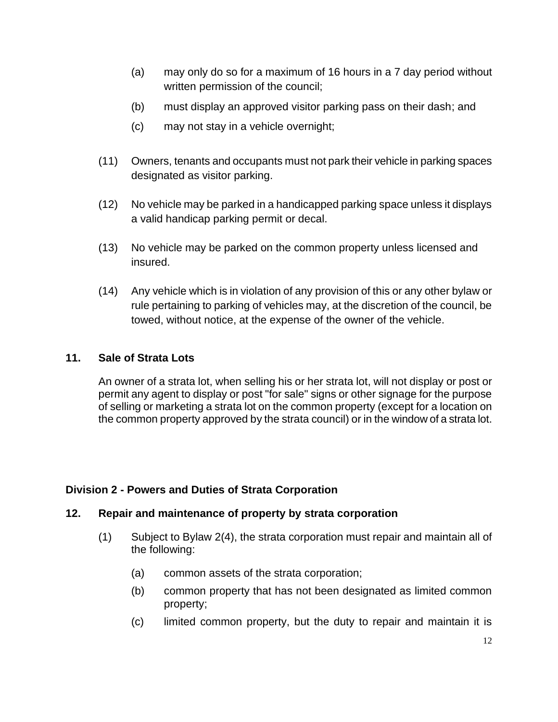- (a) may only do so for a maximum of 16 hours in a 7 day period without written permission of the council;
- (b) must display an approved visitor parking pass on their dash; and
- (c) may not stay in a vehicle overnight;
- (11) Owners, tenants and occupants must not park their vehicle in parking spaces designated as visitor parking.
- (12) No vehicle may be parked in a handicapped parking space unless it displays a valid handicap parking permit or decal.
- (13) No vehicle may be parked on the common property unless licensed and insured.
- (14) Any vehicle which is in violation of any provision of this or any other bylaw or rule pertaining to parking of vehicles may, at the discretion of the council, be towed, without notice, at the expense of the owner of the vehicle.

## **11. Sale of Strata Lots**

An owner of a strata lot, when selling his or her strata lot, will not display or post or permit any agent to display or post "for sale" signs or other signage for the purpose of selling or marketing a strata lot on the common property (except for a location on the common property approved by the strata council) or in the window of a strata lot.

# **Division 2 - Powers and Duties of Strata Corporation**

# **12. Repair and maintenance of property by strata corporation**

- (1) Subject to Bylaw 2(4), the strata corporation must repair and maintain all of the following:
	- (a) common assets of the strata corporation;
	- (b) common property that has not been designated as limited common property;
	- (c) limited common property, but the duty to repair and maintain it is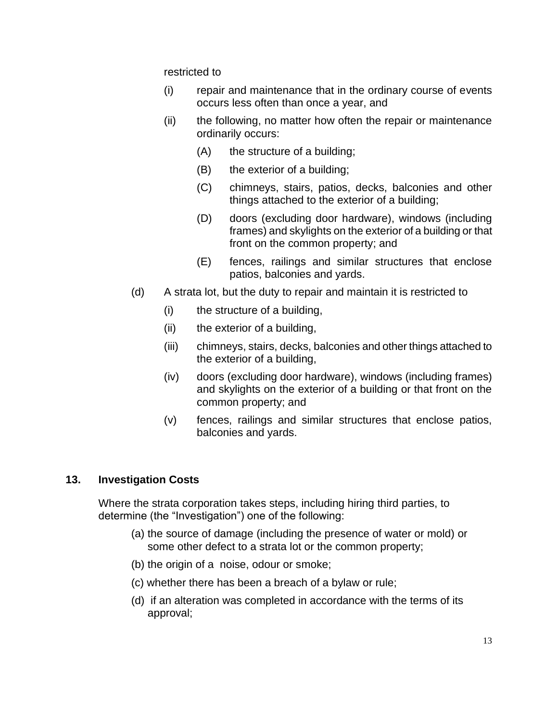restricted to

- (i) repair and maintenance that in the ordinary course of events occurs less often than once a year, and
- (ii) the following, no matter how often the repair or maintenance ordinarily occurs:
	- (A) the structure of a building;
	- (B) the exterior of a building;
	- (C) chimneys, stairs, patios, decks, balconies and other things attached to the exterior of a building;
	- (D) doors (excluding door hardware), windows (including frames) and skylights on the exterior of a building or that front on the common property; and
	- (E) fences, railings and similar structures that enclose patios, balconies and yards.
- (d) A strata lot, but the duty to repair and maintain it is restricted to
	- (i) the structure of a building,
	- (ii) the exterior of a building,
	- (iii) chimneys, stairs, decks, balconies and other things attached to the exterior of a building,
	- (iv) doors (excluding door hardware), windows (including frames) and skylights on the exterior of a building or that front on the common property; and
	- (v) fences, railings and similar structures that enclose patios, balconies and yards.

# **13. Investigation Costs**

Where the strata corporation takes steps, including hiring third parties, to determine (the "Investigation") one of the following:

- (a) the source of damage (including the presence of water or mold) or some other defect to a strata lot or the common property;
- (b) the origin of a noise, odour or smoke;
- (c) whether there has been a breach of a bylaw or rule;
- (d) if an alteration was completed in accordance with the terms of its approval;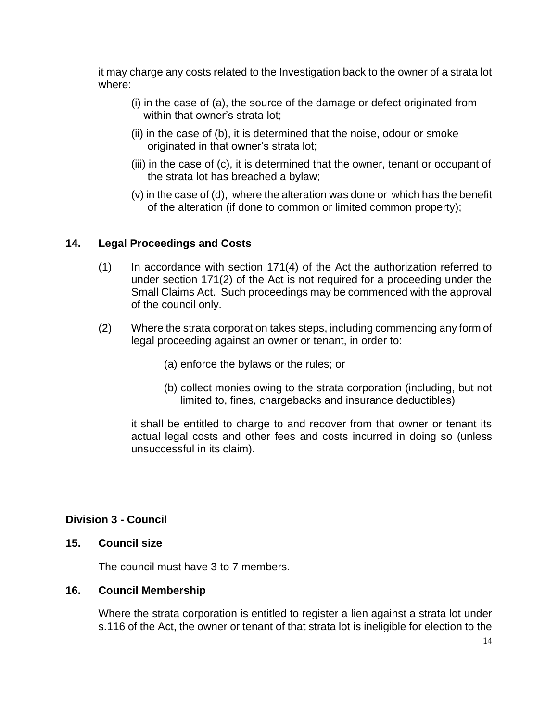it may charge any costs related to the Investigation back to the owner of a strata lot where:

- (i) in the case of (a), the source of the damage or defect originated from within that owner's strata lot;
- (ii) in the case of (b), it is determined that the noise, odour or smoke originated in that owner's strata lot;
- (iii) in the case of (c), it is determined that the owner, tenant or occupant of the strata lot has breached a bylaw;
- (v) in the case of (d), where the alteration was done or which has the benefit of the alteration (if done to common or limited common property);

#### **14. Legal Proceedings and Costs**

- (1) In accordance with section 171(4) of the Act the authorization referred to under section 171(2) of the Act is not required for a proceeding under the Small Claims Act. Such proceedings may be commenced with the approval of the council only.
- (2) Where the strata corporation takes steps, including commencing any form of legal proceeding against an owner or tenant, in order to:
	- (a) enforce the bylaws or the rules; or
	- (b) collect monies owing to the strata corporation (including, but not limited to, fines, chargebacks and insurance deductibles)

it shall be entitled to charge to and recover from that owner or tenant its actual legal costs and other fees and costs incurred in doing so (unless unsuccessful in its claim).

#### **Division 3 - Council**

#### **15. Council size**

The council must have 3 to 7 members.

#### **16. Council Membership**

Where the strata corporation is entitled to register a lien against a strata lot under s.116 of the Act, the owner or tenant of that strata lot is ineligible for election to the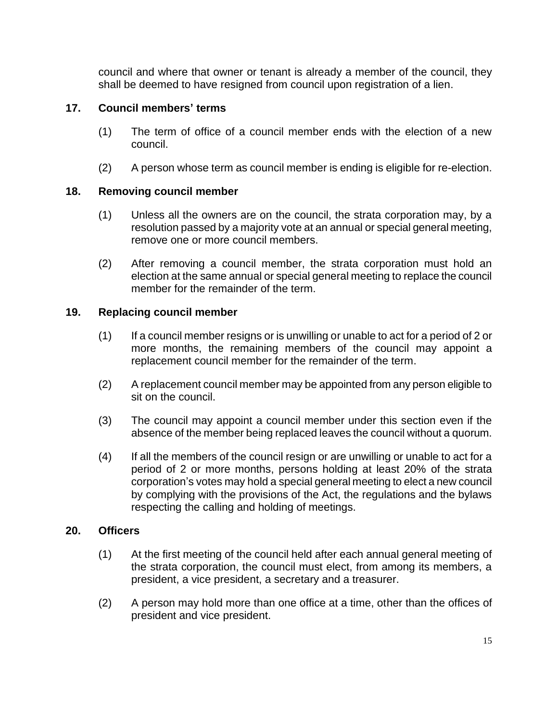council and where that owner or tenant is already a member of the council, they shall be deemed to have resigned from council upon registration of a lien.

## **17. Council members' terms**

- (1) The term of office of a council member ends with the election of a new council.
- (2) A person whose term as council member is ending is eligible for re-election.

#### **18. Removing council member**

- (1) Unless all the owners are on the council, the strata corporation may, by a resolution passed by a majority vote at an annual or special general meeting, remove one or more council members.
- (2) After removing a council member, the strata corporation must hold an election at the same annual or special general meeting to replace the council member for the remainder of the term.

#### **19. Replacing council member**

- (1) If a council member resigns or is unwilling or unable to act for a period of 2 or more months, the remaining members of the council may appoint a replacement council member for the remainder of the term.
- (2) A replacement council member may be appointed from any person eligible to sit on the council.
- (3) The council may appoint a council member under this section even if the absence of the member being replaced leaves the council without a quorum.
- (4) If all the members of the council resign or are unwilling or unable to act for a period of 2 or more months, persons holding at least 20% of the strata corporation's votes may hold a special general meeting to elect a new council by complying with the provisions of the Act, the regulations and the bylaws respecting the calling and holding of meetings.

#### **20. Officers**

- (1) At the first meeting of the council held after each annual general meeting of the strata corporation, the council must elect, from among its members, a president, a vice president, a secretary and a treasurer.
- (2) A person may hold more than one office at a time, other than the offices of president and vice president.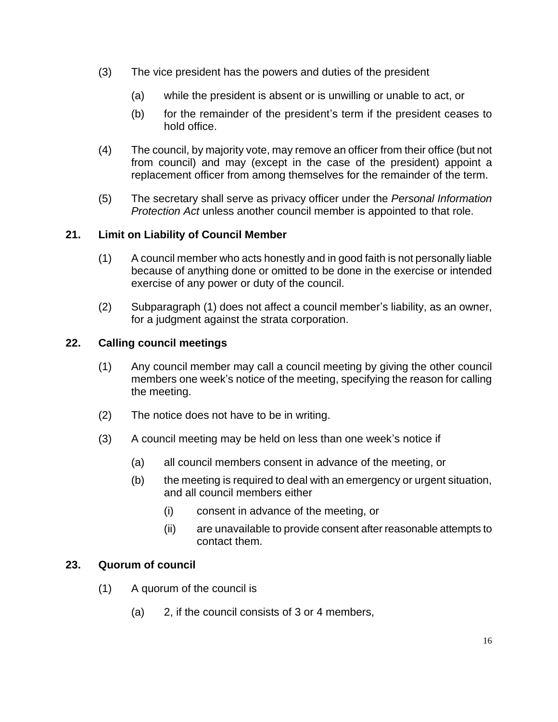- (3) The vice president has the powers and duties of the president
	- (a) while the president is absent or is unwilling or unable to act, or
	- (b) for the remainder of the president's term if the president ceases to hold office.
- (4) The council, by majority vote, may remove an officer from their office (but not from council) and may (except in the case of the president) appoint a replacement officer from among themselves for the remainder of the term.
- (5) The secretary shall serve as privacy officer under the *Personal Information Protection Act* unless another council member is appointed to that role.

## **21. Limit on Liability of Council Member**

- (1) A council member who acts honestly and in good faith is not personally liable because of anything done or omitted to be done in the exercise or intended exercise of any power or duty of the council.
- (2) Subparagraph (1) does not affect a council member's liability, as an owner, for a judgment against the strata corporation.

## **22. Calling council meetings**

- (1) Any council member may call a council meeting by giving the other council members one week's notice of the meeting, specifying the reason for calling the meeting.
- (2) The notice does not have to be in writing.
- (3) A council meeting may be held on less than one week's notice if
	- (a) all council members consent in advance of the meeting, or
	- (b) the meeting is required to deal with an emergency or urgent situation, and all council members either
		- (i) consent in advance of the meeting, or
		- (ii) are unavailable to provide consent after reasonable attempts to contact them.

#### **23. Quorum of council**

- (1) A quorum of the council is
	- (a) 2, if the council consists of 3 or 4 members,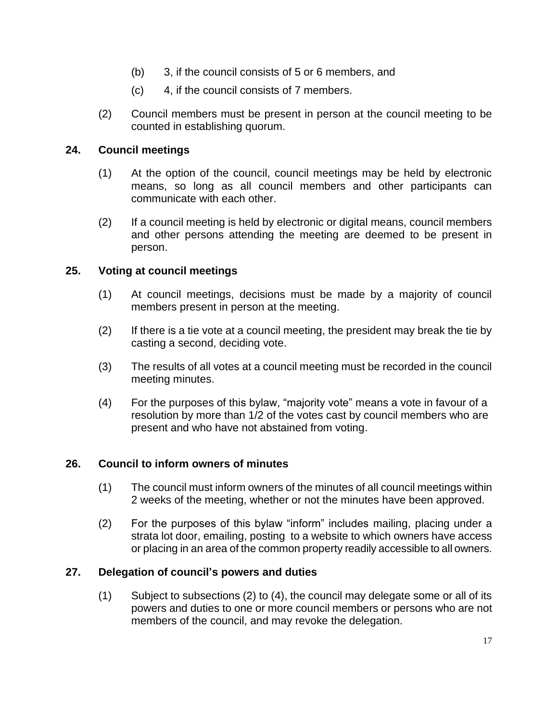- (b) 3, if the council consists of 5 or 6 members, and
- (c) 4, if the council consists of 7 members.
- (2) Council members must be present in person at the council meeting to be counted in establishing quorum.

## **24. Council meetings**

- (1) At the option of the council, council meetings may be held by electronic means, so long as all council members and other participants can communicate with each other.
- (2) If a council meeting is held by electronic or digital means, council members and other persons attending the meeting are deemed to be present in person.

## **25. Voting at council meetings**

- (1) At council meetings, decisions must be made by a majority of council members present in person at the meeting.
- (2) If there is a tie vote at a council meeting, the president may break the tie by casting a second, deciding vote.
- (3) The results of all votes at a council meeting must be recorded in the council meeting minutes.
- (4) For the purposes of this bylaw, "majority vote" means a vote in favour of a resolution by more than 1/2 of the votes cast by council members who are present and who have not abstained from voting.

# **26. Council to inform owners of minutes**

- (1) The council must inform owners of the minutes of all council meetings within 2 weeks of the meeting, whether or not the minutes have been approved.
- (2) For the purposes of this bylaw "inform" includes mailing, placing under a strata lot door, emailing, posting to a website to which owners have access or placing in an area of the common property readily accessible to all owners.

# **27. Delegation of council's powers and duties**

(1) Subject to subsections (2) to (4), the council may delegate some or all of its powers and duties to one or more council members or persons who are not members of the council, and may revoke the delegation.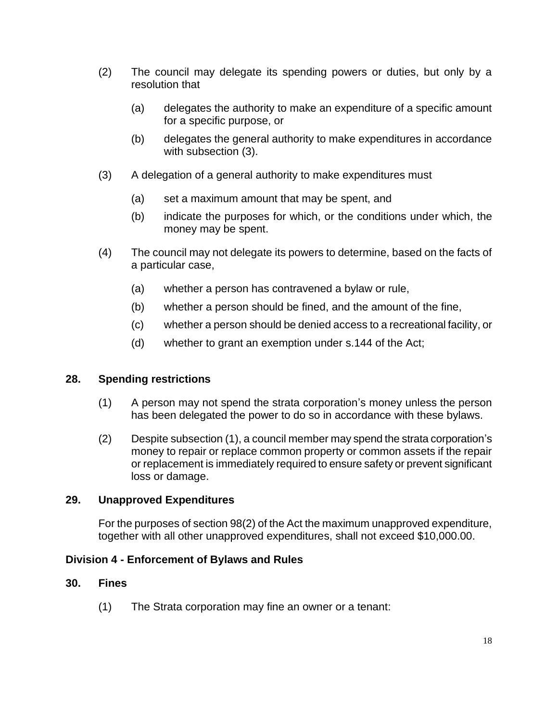- (2) The council may delegate its spending powers or duties, but only by a resolution that
	- (a) delegates the authority to make an expenditure of a specific amount for a specific purpose, or
	- (b) delegates the general authority to make expenditures in accordance with subsection (3).
- (3) A delegation of a general authority to make expenditures must
	- (a) set a maximum amount that may be spent, and
	- (b) indicate the purposes for which, or the conditions under which, the money may be spent.
- (4) The council may not delegate its powers to determine, based on the facts of a particular case,
	- (a) whether a person has contravened a bylaw or rule,
	- (b) whether a person should be fined, and the amount of the fine,
	- (c) whether a person should be denied access to a recreational facility, or
	- (d) whether to grant an exemption under s.144 of the Act;

# **28. Spending restrictions**

- (1) A person may not spend the strata corporation's money unless the person has been delegated the power to do so in accordance with these bylaws.
- (2) Despite subsection (1), a council member may spend the strata corporation's money to repair or replace common property or common assets if the repair or replacement is immediately required to ensure safety or prevent significant loss or damage.

#### **29. Unapproved Expenditures**

For the purposes of section 98(2) of the Act the maximum unapproved expenditure, together with all other unapproved expenditures, shall not exceed \$10,000.00.

#### **Division 4 - Enforcement of Bylaws and Rules**

#### **30. Fines**

(1) The Strata corporation may fine an owner or a tenant: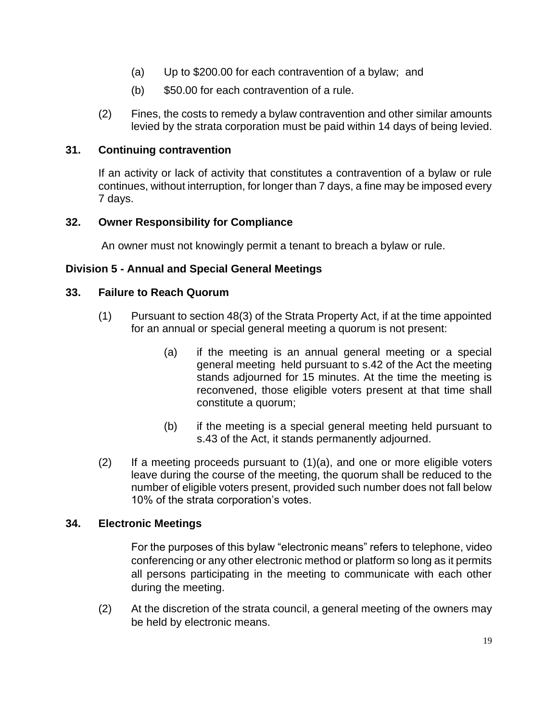- (a) Up to \$200.00 for each contravention of a bylaw; and
- (b) \$50.00 for each contravention of a rule.
- (2) Fines, the costs to remedy a bylaw contravention and other similar amounts levied by the strata corporation must be paid within 14 days of being levied.

#### **31. Continuing contravention**

If an activity or lack of activity that constitutes a contravention of a bylaw or rule continues, without interruption, for longer than 7 days, a fine may be imposed every 7 days.

## **32. Owner Responsibility for Compliance**

An owner must not knowingly permit a tenant to breach a bylaw or rule.

## **Division 5 - Annual and Special General Meetings**

## **33. Failure to Reach Quorum**

- (1) Pursuant to section 48(3) of the Strata Property Act, if at the time appointed for an annual or special general meeting a quorum is not present:
	- (a) if the meeting is an annual general meeting or a special general meeting held pursuant to s.42 of the Act the meeting stands adjourned for 15 minutes. At the time the meeting is reconvened, those eligible voters present at that time shall constitute a quorum;
	- (b) if the meeting is a special general meeting held pursuant to s.43 of the Act, it stands permanently adjourned.
- (2) If a meeting proceeds pursuant to (1)(a), and one or more eligible voters leave during the course of the meeting, the quorum shall be reduced to the number of eligible voters present, provided such number does not fall below 10% of the strata corporation's votes.

#### **34. Electronic Meetings**

For the purposes of this bylaw "electronic means" refers to telephone, video conferencing or any other electronic method or platform so long as it permits all persons participating in the meeting to communicate with each other during the meeting.

(2) At the discretion of the strata council, a general meeting of the owners may be held by electronic means.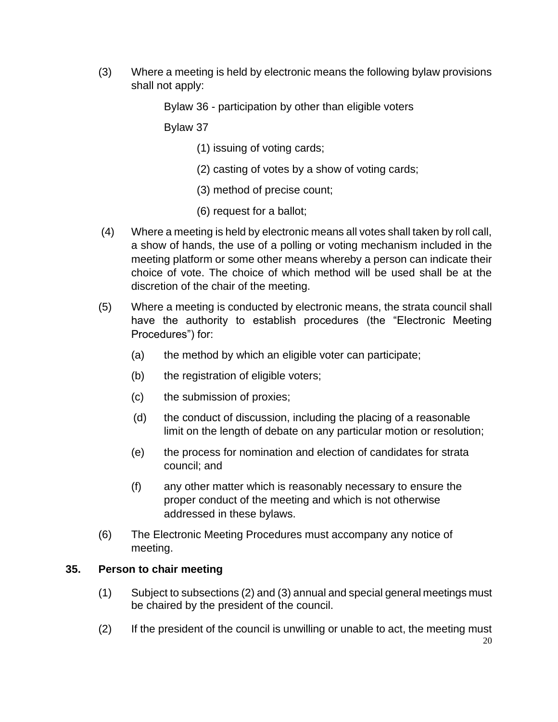(3) Where a meeting is held by electronic means the following bylaw provisions shall not apply:

Bylaw 36 - participation by other than eligible voters

Bylaw 37

- (1) issuing of voting cards;
- (2) casting of votes by a show of voting cards;
- (3) method of precise count;
- (6) request for a ballot;
- (4) Where a meeting is held by electronic means all votes shall taken by roll call, a show of hands, the use of a polling or voting mechanism included in the meeting platform or some other means whereby a person can indicate their choice of vote. The choice of which method will be used shall be at the discretion of the chair of the meeting.
- (5) Where a meeting is conducted by electronic means, the strata council shall have the authority to establish procedures (the "Electronic Meeting Procedures") for:
	- (a) the method by which an eligible voter can participate;
	- (b) the registration of eligible voters;
	- (c) the submission of proxies;
	- (d) the conduct of discussion, including the placing of a reasonable limit on the length of debate on any particular motion or resolution;
	- (e) the process for nomination and election of candidates for strata council; and
	- (f) any other matter which is reasonably necessary to ensure the proper conduct of the meeting and which is not otherwise addressed in these bylaws.
- (6) The Electronic Meeting Procedures must accompany any notice of meeting.

#### **35. Person to chair meeting**

- (1) Subject to subsections (2) and (3) annual and special general meetings must be chaired by the president of the council.
- (2) If the president of the council is unwilling or unable to act, the meeting must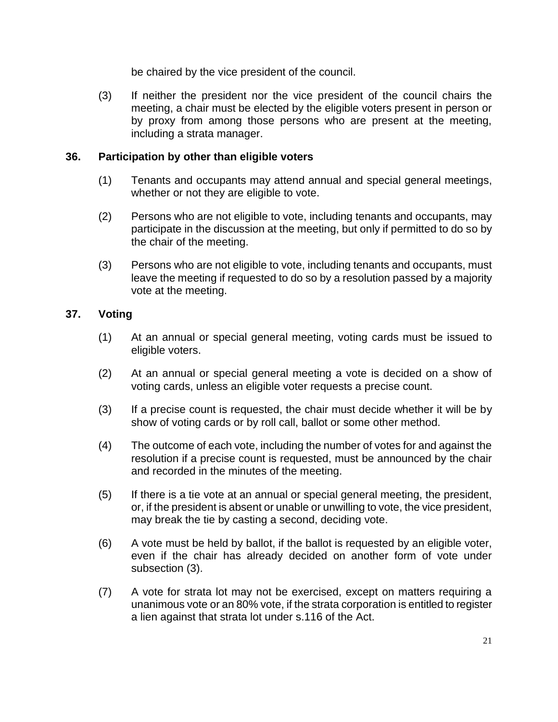be chaired by the vice president of the council.

(3) If neither the president nor the vice president of the council chairs the meeting, a chair must be elected by the eligible voters present in person or by proxy from among those persons who are present at the meeting, including a strata manager.

#### **36. Participation by other than eligible voters**

- (1) Tenants and occupants may attend annual and special general meetings, whether or not they are eligible to vote.
- (2) Persons who are not eligible to vote, including tenants and occupants, may participate in the discussion at the meeting, but only if permitted to do so by the chair of the meeting.
- (3) Persons who are not eligible to vote, including tenants and occupants, must leave the meeting if requested to do so by a resolution passed by a majority vote at the meeting.

## **37. Voting**

- (1) At an annual or special general meeting, voting cards must be issued to eligible voters.
- (2) At an annual or special general meeting a vote is decided on a show of voting cards, unless an eligible voter requests a precise count.
- (3) If a precise count is requested, the chair must decide whether it will be by show of voting cards or by roll call, ballot or some other method.
- (4) The outcome of each vote, including the number of votes for and against the resolution if a precise count is requested, must be announced by the chair and recorded in the minutes of the meeting.
- (5) If there is a tie vote at an annual or special general meeting, the president, or, if the president is absent or unable or unwilling to vote, the vice president, may break the tie by casting a second, deciding vote.
- (6) A vote must be held by ballot, if the ballot is requested by an eligible voter, even if the chair has already decided on another form of vote under subsection (3).
- (7) A vote for strata lot may not be exercised, except on matters requiring a unanimous vote or an 80% vote, if the strata corporation is entitled to register a lien against that strata lot under s.116 of the Act.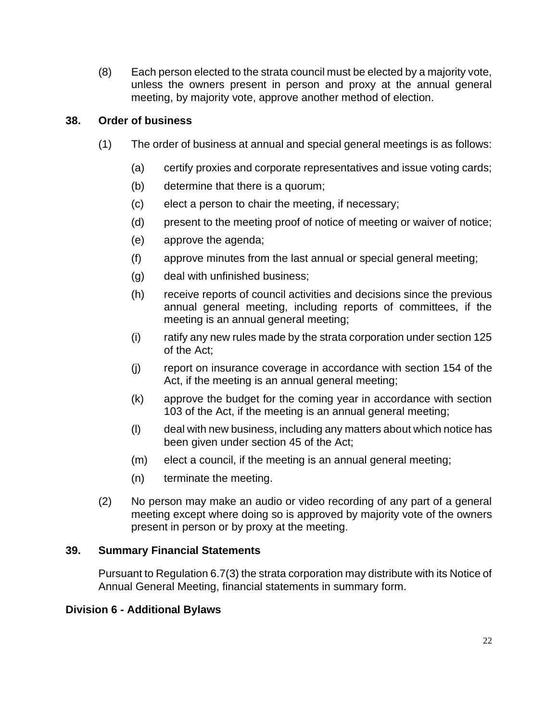(8) Each person elected to the strata council must be elected by a majority vote, unless the owners present in person and proxy at the annual general meeting, by majority vote, approve another method of election.

## **38. Order of business**

- (1) The order of business at annual and special general meetings is as follows:
	- (a) certify proxies and corporate representatives and issue voting cards;
	- (b) determine that there is a quorum;
	- (c) elect a person to chair the meeting, if necessary;
	- (d) present to the meeting proof of notice of meeting or waiver of notice;
	- (e) approve the agenda;
	- (f) approve minutes from the last annual or special general meeting;
	- (g) deal with unfinished business;
	- (h) receive reports of council activities and decisions since the previous annual general meeting, including reports of committees, if the meeting is an annual general meeting;
	- (i) ratify any new rules made by the strata corporation under section 125 of the Act;
	- (j) report on insurance coverage in accordance with section 154 of the Act, if the meeting is an annual general meeting;
	- (k) approve the budget for the coming year in accordance with section 103 of the Act, if the meeting is an annual general meeting;
	- (l) deal with new business, including any matters about which notice has been given under section 45 of the Act;
	- (m) elect a council, if the meeting is an annual general meeting;
	- (n) terminate the meeting.
- (2) No person may make an audio or video recording of any part of a general meeting except where doing so is approved by majority vote of the owners present in person or by proxy at the meeting.

#### **39. Summary Financial Statements**

Pursuant to Regulation 6.7(3) the strata corporation may distribute with its Notice of Annual General Meeting, financial statements in summary form.

#### **Division 6 - Additional Bylaws**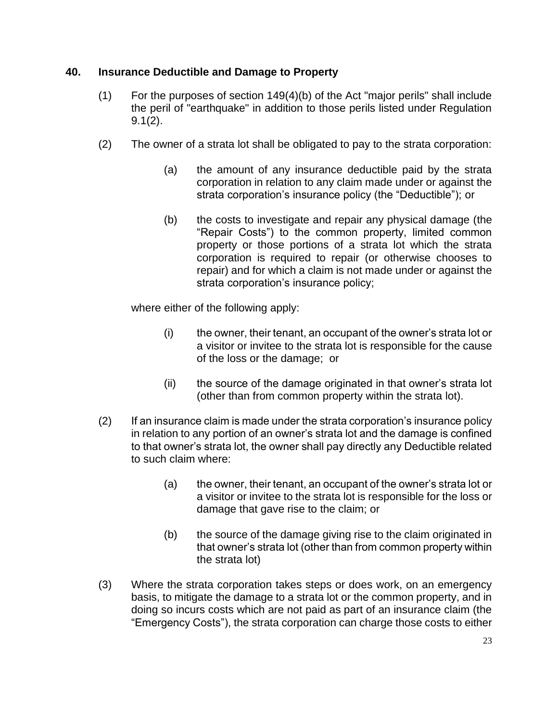## **40. Insurance Deductible and Damage to Property**

- (1) For the purposes of section 149(4)(b) of the Act "major perils" shall include the peril of "earthquake" in addition to those perils listed under Regulation 9.1(2).
- (2) The owner of a strata lot shall be obligated to pay to the strata corporation:
	- (a) the amount of any insurance deductible paid by the strata corporation in relation to any claim made under or against the strata corporation's insurance policy (the "Deductible"); or
	- (b) the costs to investigate and repair any physical damage (the "Repair Costs") to the common property, limited common property or those portions of a strata lot which the strata corporation is required to repair (or otherwise chooses to repair) and for which a claim is not made under or against the strata corporation's insurance policy;

where either of the following apply:

- (i) the owner, their tenant, an occupant of the owner's strata lot or a visitor or invitee to the strata lot is responsible for the cause of the loss or the damage; or
- (ii) the source of the damage originated in that owner's strata lot (other than from common property within the strata lot).
- (2) If an insurance claim is made under the strata corporation's insurance policy in relation to any portion of an owner's strata lot and the damage is confined to that owner's strata lot, the owner shall pay directly any Deductible related to such claim where:
	- (a) the owner, their tenant, an occupant of the owner's strata lot or a visitor or invitee to the strata lot is responsible for the loss or damage that gave rise to the claim; or
	- (b) the source of the damage giving rise to the claim originated in that owner's strata lot (other than from common property within the strata lot)
- (3) Where the strata corporation takes steps or does work, on an emergency basis, to mitigate the damage to a strata lot or the common property, and in doing so incurs costs which are not paid as part of an insurance claim (the "Emergency Costs"), the strata corporation can charge those costs to either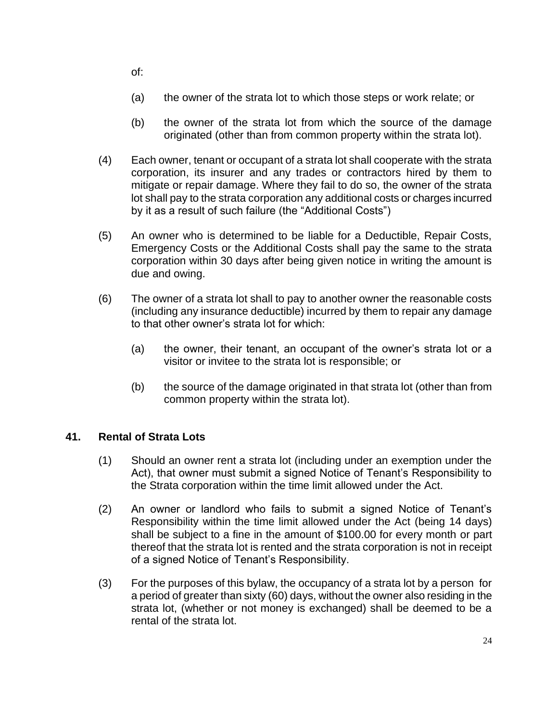of:

- (a) the owner of the strata lot to which those steps or work relate; or
- (b) the owner of the strata lot from which the source of the damage originated (other than from common property within the strata lot).
- (4) Each owner, tenant or occupant of a strata lot shall cooperate with the strata corporation, its insurer and any trades or contractors hired by them to mitigate or repair damage. Where they fail to do so, the owner of the strata lot shall pay to the strata corporation any additional costs or charges incurred by it as a result of such failure (the "Additional Costs")
- (5) An owner who is determined to be liable for a Deductible, Repair Costs, Emergency Costs or the Additional Costs shall pay the same to the strata corporation within 30 days after being given notice in writing the amount is due and owing.
- (6) The owner of a strata lot shall to pay to another owner the reasonable costs (including any insurance deductible) incurred by them to repair any damage to that other owner's strata lot for which:
	- (a) the owner, their tenant, an occupant of the owner's strata lot or a visitor or invitee to the strata lot is responsible; or
	- (b) the source of the damage originated in that strata lot (other than from common property within the strata lot).

# **41. Rental of Strata Lots**

- (1) Should an owner rent a strata lot (including under an exemption under the Act), that owner must submit a signed Notice of Tenant's Responsibility to the Strata corporation within the time limit allowed under the Act.
- (2) An owner or landlord who fails to submit a signed Notice of Tenant's Responsibility within the time limit allowed under the Act (being 14 days) shall be subject to a fine in the amount of \$100.00 for every month or part thereof that the strata lot is rented and the strata corporation is not in receipt of a signed Notice of Tenant's Responsibility.
- (3) For the purposes of this bylaw, the occupancy of a strata lot by a person for a period of greater than sixty (60) days, without the owner also residing in the strata lot, (whether or not money is exchanged) shall be deemed to be a rental of the strata lot.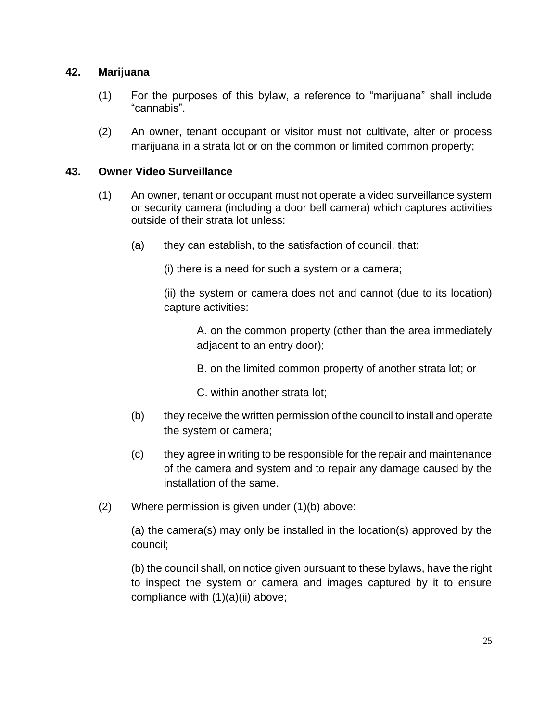#### **42. Marijuana**

- (1) For the purposes of this bylaw, a reference to "marijuana" shall include "cannabis".
- (2) An owner, tenant occupant or visitor must not cultivate, alter or process marijuana in a strata lot or on the common or limited common property;

## **43. Owner Video Surveillance**

- (1) An owner, tenant or occupant must not operate a video surveillance system or security camera (including a door bell camera) which captures activities outside of their strata lot unless:
	- (a) they can establish, to the satisfaction of council, that:

(i) there is a need for such a system or a camera;

(ii) the system or camera does not and cannot (due to its location) capture activities:

A. on the common property (other than the area immediately adjacent to an entry door);

B. on the limited common property of another strata lot; or

C. within another strata lot;

- (b) they receive the written permission of the council to install and operate the system or camera;
- (c) they agree in writing to be responsible for the repair and maintenance of the camera and system and to repair any damage caused by the installation of the same.
- (2) Where permission is given under (1)(b) above:

(a) the camera(s) may only be installed in the location(s) approved by the council;

(b) the council shall, on notice given pursuant to these bylaws, have the right to inspect the system or camera and images captured by it to ensure compliance with (1)(a)(ii) above;